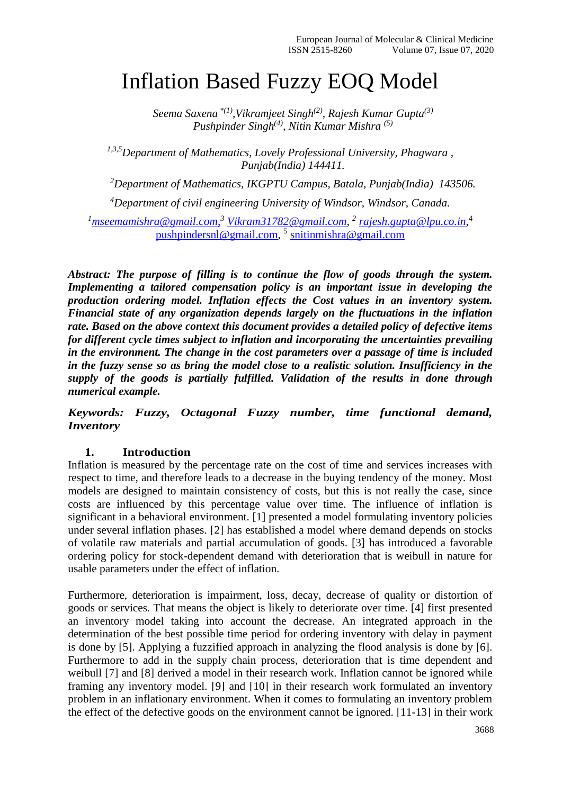# Inflation Based Fuzzy EOQ Model

*Seema Saxena \*(1),Vikramjeet Singh(2), Rajesh Kumar Gupta(3) Pushpinder Singh(4), Nitin Kumar Mishra (5)*

*1,3,5Department of Mathematics, Lovely Professional University, Phagwara , Punjab(India) 144411.*

*<sup>2</sup>Department of Mathematics, IKGPTU Campus, Batala, Punjab(India) 143506.*

*<sup>4</sup>Department of civil engineering University of Windsor, Windsor, Canada.*

*<sup>1</sup>[mseemamishra@gmail.com,](mailto:mseemamishra@gmail.com) <sup>3</sup> [Vikram31782@gmail.com,](mailto:Vikram31782@gmail.com) 2 [rajesh.gupta@lpu.co.in,](mailto:rajesh.gupta@lpu.co.in)* 4 [pushpindersnl@gmail.com,](mailto:pushpindersnl@gmail.com) 5 [snitinmishra@gmail.com](mailto:snitinmishra@gmail.com)

*Abstract: The purpose of filling is to continue the flow of goods through the system. Implementing a tailored compensation policy is an important issue in developing the production ordering model. Inflation effects the Cost values in an inventory system. Financial state of any organization depends largely on the fluctuations in the inflation rate. Based on the above context this document provides a detailed policy of defective items for different cycle times subject to inflation and incorporating the uncertainties prevailing in the environment. The change in the cost parameters over a passage of time is included in the fuzzy sense so as bring the model close to a realistic solution. Insufficiency in the supply of the goods is partially fulfilled. Validation of the results in done through numerical example.*

*Keywords: Fuzzy, Octagonal Fuzzy number, time functional demand, Inventory*

# **1. Introduction**

Inflation is measured by the percentage rate on the cost of time and services increases with respect to time, and therefore leads to a decrease in the buying tendency of the money. Most models are designed to maintain consistency of costs, but this is not really the case, since costs are influenced by this percentage value over time. The influence of inflation is significant in a behavioral environment. [1] presented a model formulating inventory policies under several inflation phases. [2] has established a model where demand depends on stocks of volatile raw materials and partial accumulation of goods. [3] has introduced a favorable ordering policy for stock-dependent demand with deterioration that is weibull in nature for usable parameters under the effect of inflation.

Furthermore, deterioration is impairment, loss, decay, decrease of quality or distortion of goods or services. That means the object is likely to deteriorate over time. [4] first presented an inventory model taking into account the decrease. An integrated approach in the determination of the best possible time period for ordering inventory with delay in payment is done by [5]. Applying a fuzzified approach in analyzing the flood analysis is done by [6]. Furthermore to add in the supply chain process, deterioration that is time dependent and weibull [7] and [8] derived a model in their research work. Inflation cannot be ignored while framing any inventory model. [9] and [10] in their research work formulated an inventory problem in an inflationary environment. When it comes to formulating an inventory problem the effect of the defective goods on the environment cannot be ignored. [11-13] in their work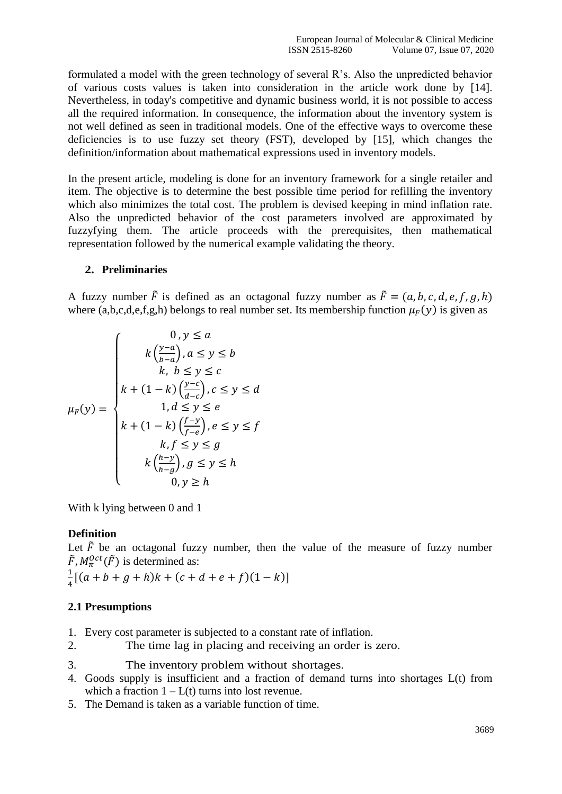formulated a model with the green technology of several R's. Also the unpredicted behavior of various costs values is taken into consideration in the article work done by [14]. Nevertheless, in today's competitive and dynamic business world, it is not possible to access all the required information. In consequence, the information about the inventory system is not well defined as seen in traditional models. One of the effective ways to overcome these deficiencies is to use fuzzy set theory (FST), developed by [15], which changes the definition/information about mathematical expressions used in inventory models.

In the present article, modeling is done for an inventory framework for a single retailer and item. The objective is to determine the best possible time period for refilling the inventory which also minimizes the total cost. The problem is devised keeping in mind inflation rate. Also the unpredicted behavior of the cost parameters involved are approximated by fuzzyfying them. The article proceeds with the prerequisites, then mathematical representation followed by the numerical example validating the theory.

## **2. Preliminaries**

A fuzzy number  $\tilde{F}$  is defined as an octagonal fuzzy number as  $\tilde{F} = (a, b, c, d, e, f, g, h)$ where (a,b,c,d,e,f,g,h) belongs to real number set. Its membership function  $\mu_F(y)$  is given as

$$
\mu_F(y) = \begin{cases}\n0, y \le a \\
k \left(\frac{y-a}{b-a}\right), a \le y \le b \\
k, b \le y \le c \\
k + (1-k) \left(\frac{y-c}{d-c}\right), c \le y \le d \\
1, d \le y \le e \\
k + (1-k) \left(\frac{f-y}{f-e}\right), e \le y \le f \\
k, f \le y \le g \\
k \left(\frac{h-y}{h-g}\right), g \le y \le h \\
0, y \ge h\n\end{cases}
$$

With k lying between 0 and 1

## **Definition**

Let  $\tilde{F}$  be an octagonal fuzzy number, then the value of the measure of fuzzy number  $\tilde{F}$ ,  $M_{\pi}^{Oct}(\tilde{F})$  is determined as:

1  $\frac{1}{4}[(a+b+g+h)k + (c+d+e+f)(1-k)]$ 

## **2.1 Presumptions**

- 1. Every cost parameter is subjected to a constant rate of inflation.
- 2. The time lag in placing and receiving an order is zero.
- 3. The inventory problem without shortages.
- 4. Goods supply is insufficient and a fraction of demand turns into shortages L(t) from which a fraction  $1 - L(t)$  turns into lost revenue.
- 5. The Demand is taken as a variable function of time.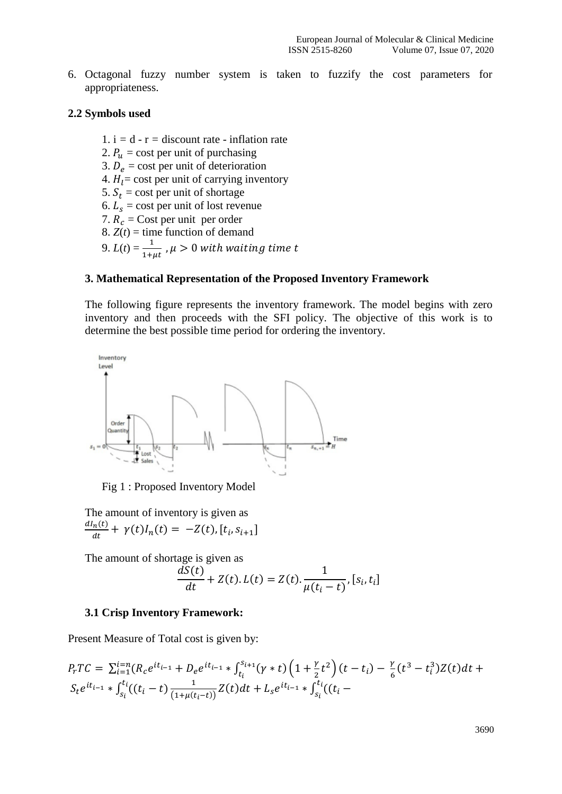6. Octagonal fuzzy number system is taken to fuzzify the cost parameters for appropriateness.

## **2.2 Symbols used**

- 1.  $i = d r =$  discount rate inflation rate
- 2.  $P_u = \text{cost per unit of purchasing}$
- 3.  $D_e$  = cost per unit of deterioration
- 4.  $H<sub>l</sub> = \text{cost per unit of carrying inventory}$
- 5.  $S_t$  = cost per unit of shortage
- 6.  $L_s$  = cost per unit of lost revenue
- 7.  $R_c$  = Cost per unit per order
- 8.  $Z(t)$  = time function of demand
- 9.  $L(t) = \frac{1}{1 + \mu t}$  ,  $\mu > 0$  with waiting time t

## **3. Mathematical Representation of the Proposed Inventory Framework**

The following figure represents the inventory framework. The model begins with zero inventory and then proceeds with the SFI policy. The objective of this work is to determine the best possible time period for ordering the inventory.



Fig 1 : Proposed Inventory Model

The amount of inventory is given as  $dI_n(t)$  $\frac{d(n(t))}{dt} + \gamma(t)I_n(t) = -Z(t), [t_i, s_{i+1}]$ 

The amount of shortage is given as

$$
\frac{dS(t)}{dt} + Z(t).L(t) = Z(t).\frac{1}{\mu(t_i - t)}, [s_i, t_i]
$$

#### **3.1 Crisp Inventory Framework:**

Present Measure of Total cost is given by:

$$
P_rTC = \sum_{i=1}^{i=n} (R_c e^{it_{i-1}} + D_e e^{it_{i-1}} * \int_{t_i}^{s_{i+1}} (\gamma * t) \left(1 + \frac{\gamma}{2} t^2\right) (t - t_i) - \frac{\gamma}{6} (t^3 - t_i^3) Z(t) dt + S_t e^{it_{i-1}} * \int_{s_i}^{t_i} ((t_i - t) \frac{1}{(1 + \mu(t_i - t))} Z(t) dt + L_s e^{it_{i-1}} * \int_{s_i}^{t_i} ((t_i - t) \frac{1}{(1 + \mu(t_i - t))} Z(t) dt + L_s e^{it_{i-1}} * \int_{s_i}^{t_i} ((t_i - t) \frac{1}{(1 + \mu(t_i - t))} Z(t) dt + L_s e^{it_{i-1}} * \int_{s_i}^{t_i} ((t_i - t) \frac{1}{(1 + \mu(t_i - t))} Z(t) dt + L_s e^{it_{i-1}} * \int_{s_i}^{t_i} ((t_i - t) \frac{1}{(1 + \mu(t_i - t))} Z(t) dt + L_s e^{it_{i-1}} * \int_{s_i}^{t_i} ((t_i - t) \frac{1}{(1 + \mu(t_i - t))} Z(t) dt + L_s e^{it_{i-1}} * \int_{s_i}^{t_i} ((t_i - t) \frac{1}{(1 + \mu(t_i - t))} Z(t) dt + L_s e^{it_{i-1}} * \int_{s_i}^{t_i} ((t_i - t) \frac{1}{(1 + \mu(t_i - t))} Z(t) dt + L_s e^{it_{i-1}} * \int_{s_i}^{t_i} ((t_i - t) \frac{1}{(1 + \mu(t_i - t))} Z(t) dt + L_s e^{it_{i-1}} * \int_{s_i}^{t_i} ((t_i - t) \frac{1}{(1 + \mu(t_i - t))} Z(t) dt + L_s e^{it_{i-1}} * \int_{s_i}^{t_i} ((t_i - t) \frac{1}{(1 + \mu(t_i - t))} Z(t) dt + L_s e^{it_{i-1}} * \int_{s_i}^{t_i} ((t_i - t) \frac{1}{(1 + \mu(t_i - t))} Z(t) dt + L_s e^{it_{i-1}} * \int_{s_i}^{t_i} ((t_i - t_i - t_i - t_i) Z(t) dt + L_s e^{it_{i-1}} * \int_{s_i}^{t_i} ((t_i - t_i - t_i - t_i - t_i - t_i - t
$$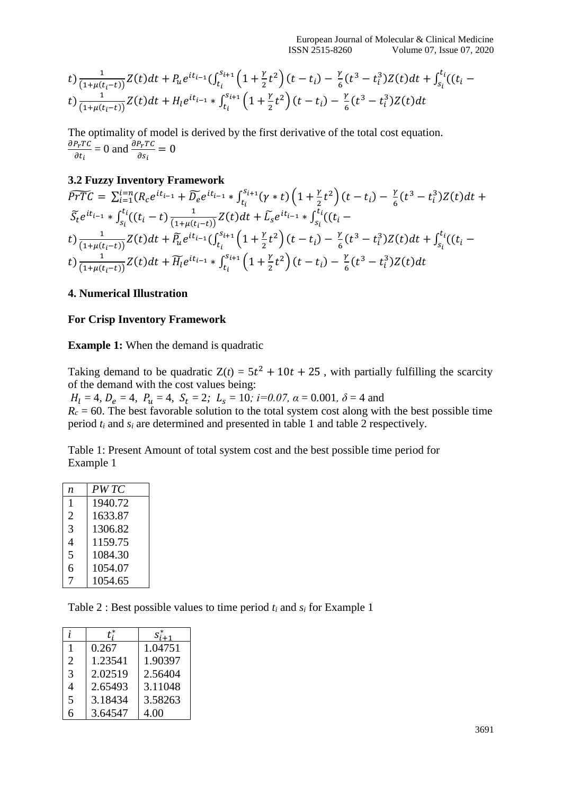$$
t) \frac{1}{(1+\mu(t_i-t))} Z(t) dt + P_u e^{it_{i-1}} \left( \int_{t_i}^{s_{i+1}} \left( 1 + \frac{\gamma}{2} t^2 \right) (t - t_i) - \frac{\gamma}{6} (t^3 - t_i^3) Z(t) dt + \int_{s_i}^{t_i} \left( (t_i - t) \right) \frac{1}{(1+\mu(t_i-t))} Z(t) dt + H_l e^{it_{i-1}} * \int_{t_i}^{s_{i+1}} \left( 1 + \frac{\gamma}{2} t^2 \right) (t - t_i) - \frac{\gamma}{6} (t^3 - t_i^3) Z(t) dt
$$

The optimality of model is derived by the first derivative of the total cost equation.  $\partial P_T T C$  $\frac{\partial P_r T C}{\partial t_i} = 0$  and  $\frac{\partial P_r T C}{\partial s_i} = 0$ 

## **3.2 Fuzzy Inventory Framework**

$$
\widetilde{PTC} = \sum_{i=1}^{i=n} (R_{c}e^{it_{i-1}} + \widetilde{D_{e}}e^{it_{i-1}} * \int_{t_{i}}^{s_{i+1}} (\gamma * t) \left(1 + \frac{\gamma}{2}t^{2}\right) (t - t_{i}) - \frac{\gamma}{6} (t^{3} - t_{i}^{3}) Z(t) dt +
$$
\n
$$
\widetilde{S}_{t}e^{it_{i-1}} * \int_{s_{i}}^{t_{i}} ((t_{i} - t) \frac{1}{(1 + \mu(t_{i} - t))} Z(t) dt + \widetilde{L_{s}}e^{it_{i-1}} * \int_{s_{i}}^{t_{i}} ((t_{i} - t) \frac{1}{(1 + \mu(t_{i} - t))} Z(t) dt + \widetilde{P}_{u}e^{it_{i-1}} (\int_{t_{i}}^{s_{i+1}} \left(1 + \frac{\gamma}{2}t^{2}\right) (t - t_{i}) - \frac{\gamma}{6} (t^{3} - t_{i}^{3}) Z(t) dt + \int_{s_{i}}^{t_{i}} ((t_{i} - t) \frac{1}{(1 + \mu(t_{i} - t))} Z(t) dt + \widetilde{H_{t}}e^{it_{i-1}} * \int_{t_{i}}^{s_{i+1}} \left(1 + \frac{\gamma}{2}t^{2}\right) (t - t_{i}) - \frac{\gamma}{6} (t^{3} - t_{i}^{3}) Z(t) dt +
$$

## **4. Numerical Illustration**

## **For Crisp Inventory Framework**

#### **Example 1:** When the demand is quadratic

Taking demand to be quadratic  $Z(t) = 5t^2 + 10t + 25$ , with partially fulfilling the scarcity of the demand with the cost values being:

 $H_l = 4$ ,  $D_e = 4$ ,  $P_u = 4$ ,  $S_t = 2$ ;  $L_s = 10$ ;  $i=0.07$ ,  $\alpha = 0.001$ ,  $\delta = 4$  and  $R_c = 60$ . The best favorable solution to the total system cost along with the best possible time period *t<sup>i</sup>* and *s<sup>i</sup>* are determined and presented in table 1 and table 2 respectively.

Table 1: Present Amount of total system cost and the best possible time period for Example 1

| n | PW TC   |
|---|---------|
| 1 | 1940.72 |
| 2 | 1633.87 |
| 3 | 1306.82 |
| 4 | 1159.75 |
| 5 | 1084.30 |
| 6 | 1054.07 |
| 7 | 1054.65 |

Table 2 : Best possible values to time period *t<sup>i</sup>* and *s<sup>i</sup>* for Example 1

|                | t:      | $S_{i+1}^*$ |
|----------------|---------|-------------|
| 1              | 0.267   | 1.04751     |
| $\overline{2}$ | 1.23541 | 1.90397     |
| 3              | 2.02519 | 2.56404     |
| 4              | 2.65493 | 3.11048     |
| 5              | 3.18434 | 3.58263     |
| 6              | 3.64547 | 4.00        |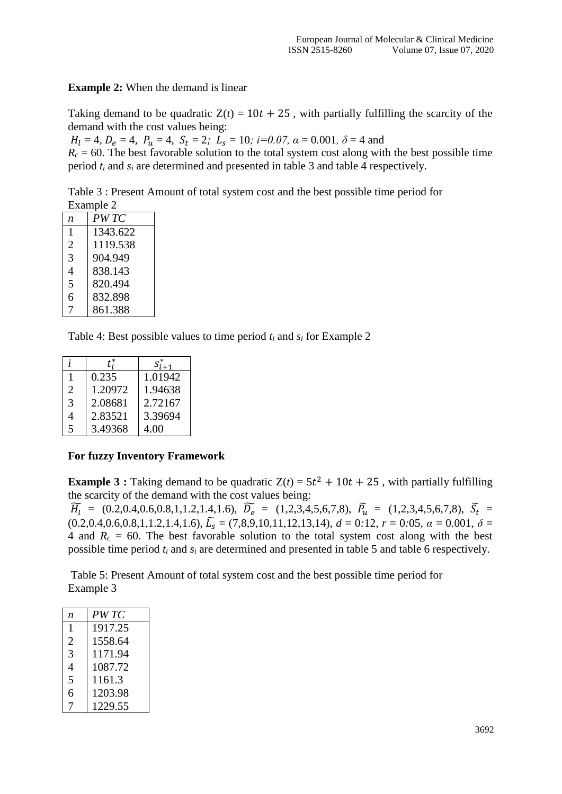**Example 2:** When the demand is linear

Taking demand to be quadratic  $Z(t) = 10t + 25$ , with partially fulfilling the scarcity of the demand with the cost values being:

 $H_l = 4$ ,  $D_e = 4$ ,  $P_u = 4$ ,  $S_t = 2$ ;  $L_s = 10$ ;  $i=0.07$ ,  $\alpha = 0.001$ ,  $\delta = 4$  and

 $R_c = 60$ . The best favorable solution to the total system cost along with the best possible time period *t<sup>i</sup>* and *s<sup>i</sup>* are determined and presented in table 3 and table 4 respectively.

Table 3 : Present Amount of total system cost and the best possible time period for Example 2

| n | PW TC    |  |
|---|----------|--|
| 1 | 1343.622 |  |
| 2 | 1119.538 |  |
| 3 | 904.949  |  |
| 4 | 838.143  |  |
| 5 | 820.494  |  |
| 6 | 832.898  |  |
| 7 | 861.388  |  |
|   |          |  |

Table 4: Best possible values to time period  $t_i$  and  $s_i$  for Example 2

|                |         | $S_{i+1}$ |
|----------------|---------|-----------|
|                | 0.235   | 1.01942   |
| 2              | 1.20972 | 1.94638   |
| 3              | 2.08681 | 2.72167   |
| 4              | 2.83521 | 3.39694   |
| $\overline{5}$ | 3.49368 | 4.00      |

## **For fuzzy Inventory Framework**

**Example 3**: Taking demand to be quadratic  $Z(t) = 5t^2 + 10t + 25$ , with partially fulfilling the scarcity of the demand with the cost values being:

 $\widetilde{H}_l$  = (0.2,0.4,0.6,0.8,1,1.2,1.4,1.6),  $\widetilde{D_e}$  = (1,2,3,4,5,6,7,8),  $\widetilde{P_u}$  = (1,2,3,4,5,6,7,8),  $\widetilde{S}_t$  =  $(0.2, 0.4, 0.6, 0.8, 1, 1.2, 1.4, 1.6), \tilde{L}_{s} = (7, 8, 9, 10, 11, 12, 13, 14), d = 0.12, r = 0.05, \alpha = 0.001, \delta = 0.001$ 4 and  $R_c = 60$ . The best favorable solution to the total system cost along with the best possible time period *t<sup>i</sup>* and *s<sup>i</sup>* are determined and presented in table 5 and table 6 respectively.

Table 5: Present Amount of total system cost and the best possible time period for Example 3

| n              | PW TC   |
|----------------|---------|
| 1              | 1917.25 |
| $\overline{2}$ | 1558.64 |
| 3              | 1171.94 |
| $\overline{4}$ | 1087.72 |
| 5              | 1161.3  |
| 6              | 1203.98 |
| 7              | 1229.55 |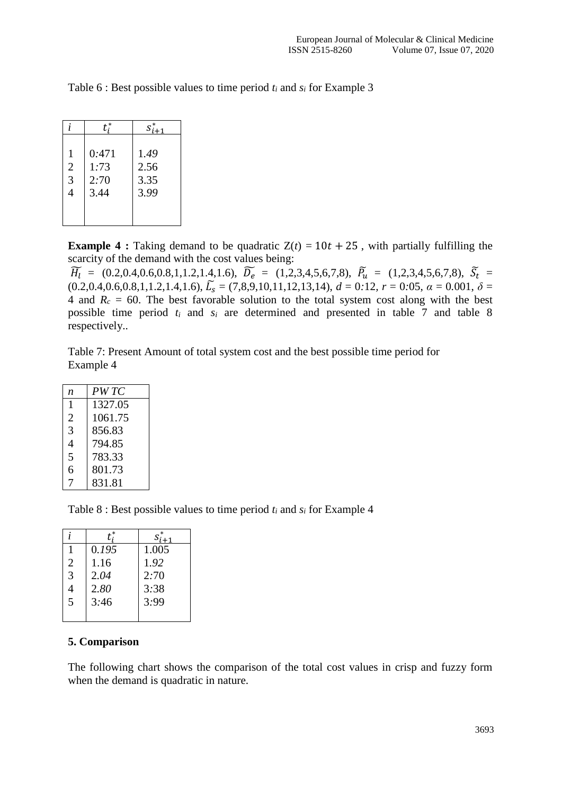|                | $t^*$ | $S_{i+1}^*$ |
|----------------|-------|-------------|
| 1              | 0:471 | 1.49        |
| $\overline{2}$ | 1:73  | 2.56        |
| 3              | 2:70  | 3.35        |
| $\overline{4}$ | 3.44  | 3.99        |

Table 6 : Best possible values to time period *t<sup>i</sup>* and *s<sup>i</sup>* for Example 3

**Example 4 :** Taking demand to be quadratic  $Z(t) = 10t + 25$ , with partially fulfilling the scarcity of the demand with the cost values being:

 $\widetilde{H}_l$  = (0.2,0.4,0.6,0.8,1,1.2,1.4,1.6),  $\widetilde{D_e}$  = (1,2,3,4,5,6,7,8),  $\widetilde{P_u}$  = (1,2,3,4,5,6,7,8),  $\widetilde{S}_t$  =  $(0.2, 0.4, 0.6, 0.8, 1, 1.2, 1.4, 1.6), \tilde{L}_{s} = (7, 8, 9, 10, 11, 12, 13, 14), d = 0.12, r = 0.05, \alpha = 0.001, \delta =$ 4 and  $R_c = 60$ . The best favorable solution to the total system cost along with the best possible time period *t<sup>i</sup>* and *s<sup>i</sup>* are determined and presented in table 7 and table 8 respectively..

Table 7: Present Amount of total system cost and the best possible time period for Example 4

| n | PW TC   |
|---|---------|
| 1 | 1327.05 |
| 2 | 1061.75 |
| 3 | 856.83  |
| 4 | 794.85  |
| 5 | 783.33  |
| 6 | 801.73  |
|   | 831.81  |

Table 8 : Best possible values to time period *t<sup>i</sup>* and *s<sup>i</sup>* for Example 4

| İ.             |       | $S_{i+1}^*$ |
|----------------|-------|-------------|
|                | 0.195 | 1.005       |
| 2              | 1.16  | 1.92        |
| 3              | 2.04  | 2:70        |
| $\overline{4}$ | 2.80  | 3:38        |
| $\frac{1}{5}$  | 3:46  | 3:99        |
|                |       |             |

## **5. Comparison**

The following chart shows the comparison of the total cost values in crisp and fuzzy form when the demand is quadratic in nature.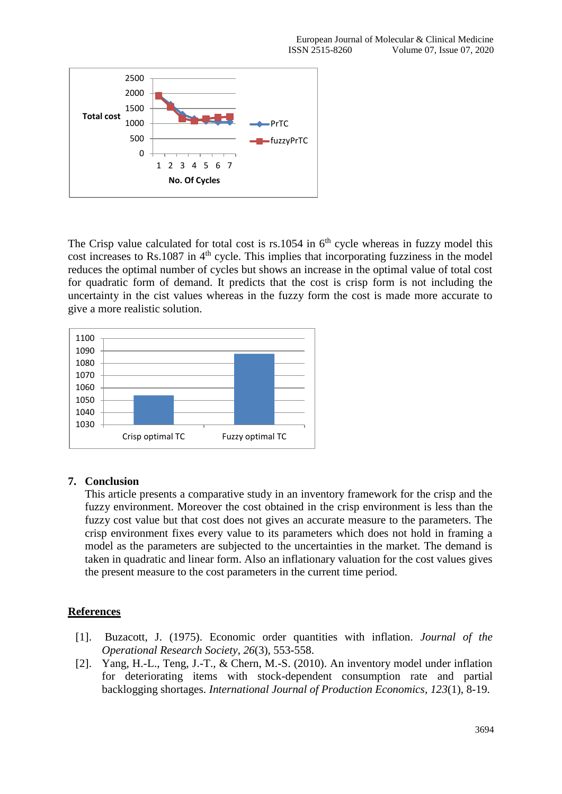

The Crisp value calculated for total cost is  $rs.1054$  in  $6<sup>th</sup>$  cycle whereas in fuzzy model this cost increases to Rs.1087 in 4<sup>th</sup> cycle. This implies that incorporating fuzziness in the model reduces the optimal number of cycles but shows an increase in the optimal value of total cost for quadratic form of demand. It predicts that the cost is crisp form is not including the uncertainty in the cist values whereas in the fuzzy form the cost is made more accurate to give a more realistic solution.



# **7. Conclusion**

This article presents a comparative study in an inventory framework for the crisp and the fuzzy environment. Moreover the cost obtained in the crisp environment is less than the fuzzy cost value but that cost does not gives an accurate measure to the parameters. The crisp environment fixes every value to its parameters which does not hold in framing a model as the parameters are subjected to the uncertainties in the market. The demand is taken in quadratic and linear form. Also an inflationary valuation for the cost values gives the present measure to the cost parameters in the current time period.

# **References**

- [1]. Buzacott, J. (1975). Economic order quantities with inflation. *Journal of the Operational Research Society*, *26*(3), 553-558.
- [2]. Yang, H.-L., Teng, J.-T., & Chern, M.-S. (2010). An inventory model under inflation for deteriorating items with stock-dependent consumption rate and partial backlogging shortages. *International Journal of Production Economics*, *123*(1), 8-19.